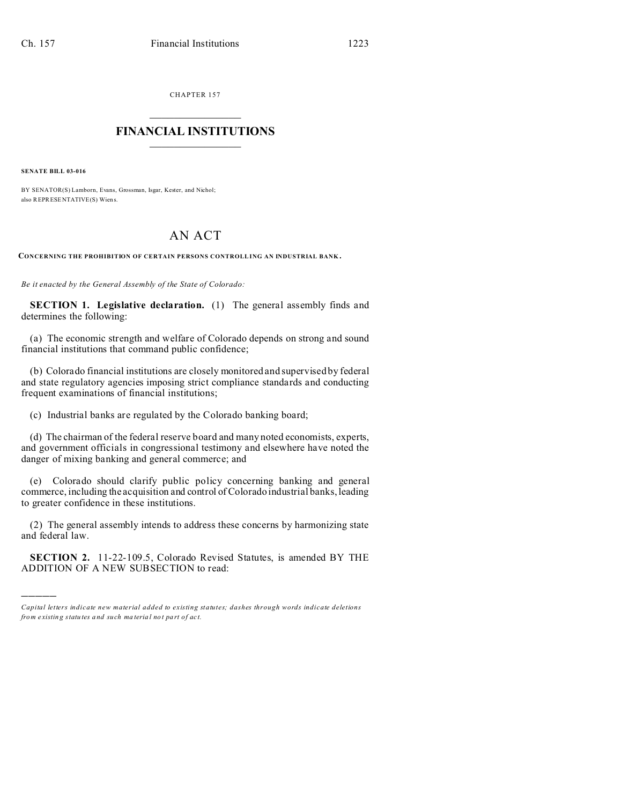CHAPTER 157  $\overline{\phantom{a}}$  , where  $\overline{\phantom{a}}$ 

## **FINANCIAL INSTITUTIONS**  $\frac{1}{2}$  ,  $\frac{1}{2}$  ,  $\frac{1}{2}$  ,  $\frac{1}{2}$  ,  $\frac{1}{2}$  ,  $\frac{1}{2}$  ,  $\frac{1}{2}$

**SENATE BILL 03-016**

)))))

BY SENATOR(S) Lamborn, Evans, Grossman, Isgar, Kester, and Nichol; also REPRESENTATIVE(S) Wien s.

## AN ACT

**CONCERNING THE PROHIBITION OF CERTAIN PERSONS CONTROLLING AN INDUSTRIAL BANK .**

*Be it enacted by the General Assembly of the State of Colorado:*

**SECTION 1. Legislative declaration.** (1) The general assembly finds and determines the following:

(a) The economic strength and welfare of Colorado depends on strong and sound financial institutions that command public confidence;

(b) Colorado financial institutions are closely monitored and supervised by federal and state regulatory agencies imposing strict compliance standards and conducting frequent examinations of financial institutions;

(c) Industrial banks are regulated by the Colorado banking board;

(d) The chairman of the federal reserve board and many noted economists, experts, and government officials in congressional testimony and elsewhere have noted the danger of mixing banking and general commerce; and

(e) Colorado should clarify public policy concerning banking and general commerce, including the acquisition and control of Colorado industrial banks, leading to greater confidence in these institutions.

(2) The general assembly intends to address these concerns by harmonizing state and federal law.

**SECTION 2.** 11-22-109.5, Colorado Revised Statutes, is amended BY THE ADDITION OF A NEW SUBSECTION to read:

*Capital letters indicate new material added to existing statutes; dashes through words indicate deletions from e xistin g statu tes a nd such ma teria l no t pa rt of ac t.*